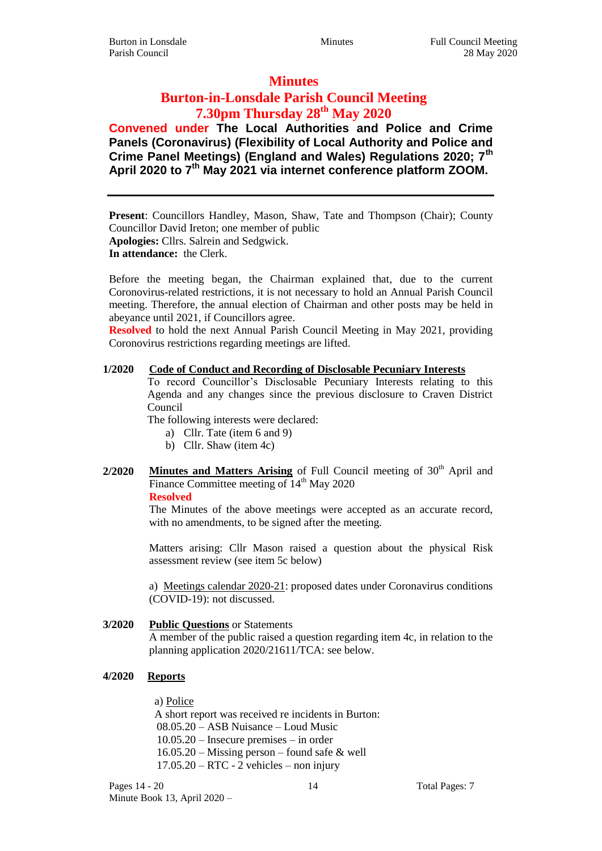## **Minutes**

# **Burton-in-Lonsdale Parish Council Meeting 7.30pm Thursday 28th May 2020**

**Convened under The Local Authorities and Police and Crime Panels (Coronavirus) (Flexibility of Local Authority and Police and Crime Panel Meetings) (England and Wales) Regulations 2020; 7th April 2020 to 7th May 2021 via internet conference platform ZOOM.**

**Present**: Councillors Handley, Mason, Shaw, Tate and Thompson (Chair); County Councillor David Ireton; one member of public **Apologies:** Cllrs. Salrein and Sedgwick.

**In attendance:** the Clerk.

Before the meeting began, the Chairman explained that, due to the current Coronovirus-related restrictions, it is not necessary to hold an Annual Parish Council meeting. Therefore, the annual election of Chairman and other posts may be held in abeyance until 2021, if Councillors agree.

**Resolved** to hold the next Annual Parish Council Meeting in May 2021, providing Coronovirus restrictions regarding meetings are lifted.

### **1/2020 Code of Conduct and Recording of Disclosable Pecuniary Interests**

To record Councillor's Disclosable Pecuniary Interests relating to this Agenda and any changes since the previous disclosure to Craven District Council

The following interests were declared:

- a) Cllr. Tate (item 6 and 9)
- b) Cllr. Shaw (item 4c)

# 2/2020 **Minutes and Matters Arising** of Full Council meeting of 30<sup>th</sup> April and Finance Committee meeting of  $14<sup>th</sup>$  May 2020

#### **Resolved**

The Minutes of the above meetings were accepted as an accurate record, with no amendments, to be signed after the meeting.

Matters arising: Cllr Mason raised a question about the physical Risk assessment review (see item 5c below)

a) Meetings calendar 2020-21: proposed dates under Coronavirus conditions (COVID-19): not discussed.

### **3/2020 Public Questions** or Statements

A member of the public raised a question regarding item 4c, in relation to the planning application 2020/21611/TCA: see below.

### **4/2020 Reports**

a) Police

A short report was received re incidents in Burton: 08.05.20 – ASB Nuisance – Loud Music 10.05.20 – Insecure premises – in order 16.05.20 – Missing person – found safe & well  $17.05.20 - RTC - 2$  vehicles – non injury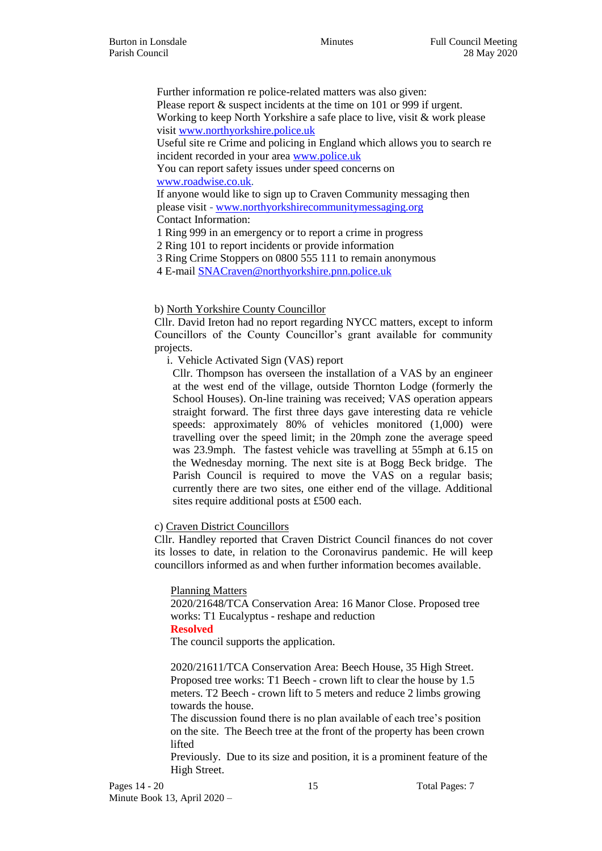Further information re police-related matters was also given:

Please report  $\&$  suspect incidents at the time on 101 or 999 if urgent. Working to keep North Yorkshire a safe place to live, visit & work please visit [www.northyorkshire.police.uk](http://www.northyorkshire.police.uk/)

Useful site re Crime and policing in England which allows you to search re incident recorded in your area [www.police.uk](http://www.police.uk/)

You can report safety issues under speed concerns on [www.roadwise.co.uk.](http://www.roadwise.co.uk/)

If anyone would like to sign up to Craven Community messaging then please visit - [www.northyorkshirecommunitymessaging.org](http://www.northyorkshirecommunitymessaging.org/)

Contact Information:

1 Ring 999 in an emergency or to report a crime in progress

2 Ring 101 to report incidents or provide information

3 Ring Crime Stoppers on 0800 555 111 to remain anonymous

4 E-mail [SNACraven@northyorkshire.pnn.police.uk](mailto:SNACraven@northyorkshire.pnn.police.uk)

## b) North Yorkshire County Councillor

Cllr. David Ireton had no report regarding NYCC matters, except to inform Councillors of the County Councillor's grant available for community projects.

i. Vehicle Activated Sign (VAS) report

Cllr. Thompson has overseen the installation of a VAS by an engineer at the west end of the village, outside Thornton Lodge (formerly the School Houses). On-line training was received; VAS operation appears straight forward. The first three days gave interesting data re vehicle speeds: approximately 80% of vehicles monitored (1,000) were travelling over the speed limit; in the 20mph zone the average speed was 23.9mph. The fastest vehicle was travelling at 55mph at 6.15 on the Wednesday morning. The next site is at Bogg Beck bridge. The Parish Council is required to move the VAS on a regular basis; currently there are two sites, one either end of the village. Additional sites require additional posts at £500 each.

## c) Craven District Councillors

Cllr. Handley reported that Craven District Council finances do not cover its losses to date, in relation to the Coronavirus pandemic. He will keep councillors informed as and when further information becomes available.

### Planning Matters

2020/21648/TCA Conservation Area: 16 Manor Close. Proposed tree works: T1 Eucalyptus - reshape and reduction

### **Resolved**

The council supports the application.

2020/21611/TCA Conservation Area: Beech House, 35 High Street. Proposed tree works: T1 Beech - crown lift to clear the house by 1.5 meters. T2 Beech - crown lift to 5 meters and reduce 2 limbs growing towards the house.

The discussion found there is no plan available of each tree's position on the site. The Beech tree at the front of the property has been crown lifted

Previously. Due to its size and position, it is a prominent feature of the High Street.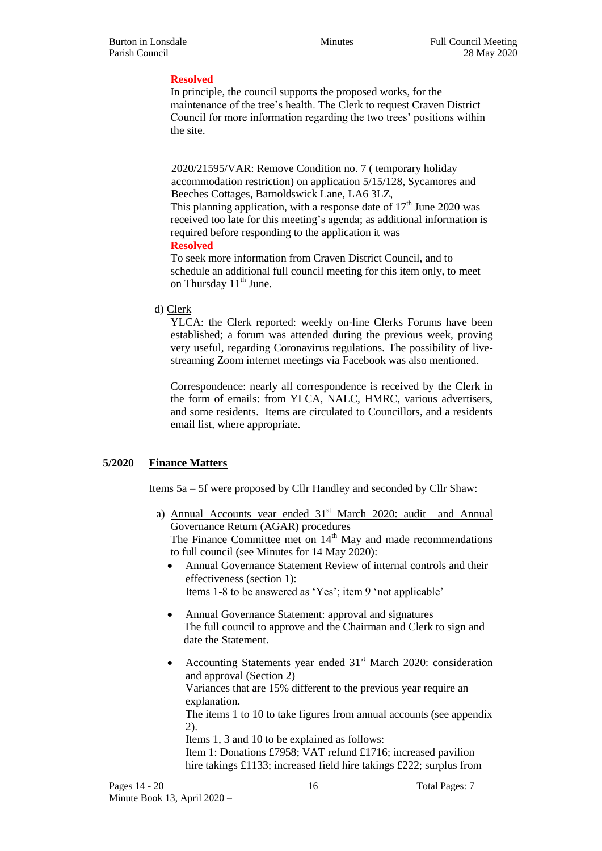## **Resolved**

In principle, the council supports the proposed works, for the maintenance of the tree's health. The Clerk to request Craven District Council for more information regarding the two trees' positions within the site.

2020/21595/VAR: Remove Condition no. 7 ( temporary holiday accommodation restriction) on application 5/15/128, Sycamores and Beeches Cottages, Barnoldswick Lane, LA6 3LZ, This planning application, with a response date of  $17<sup>th</sup>$  June 2020 was

received too late for this meeting's agenda; as additional information is required before responding to the application it was **Resolved**

To seek more information from Craven District Council, and to schedule an additional full council meeting for this item only, to meet on Thursday  $11<sup>th</sup>$  June.

## d) Clerk

YLCA: the Clerk reported: weekly on-line Clerks Forums have been established; a forum was attended during the previous week, proving very useful, regarding Coronavirus regulations. The possibility of livestreaming Zoom internet meetings via Facebook was also mentioned.

Correspondence: nearly all correspondence is received by the Clerk in the form of emails: from YLCA, NALC, HMRC, various advertisers, and some residents. Items are circulated to Councillors, and a residents email list, where appropriate.

## **5/2020 Finance Matters**

Items 5a – 5f were proposed by Cllr Handley and seconded by Cllr Shaw:

a) Annual Accounts year ended  $31<sup>st</sup>$  March 2020: audit and Annual Governance Return (AGAR) procedures

The Finance Committee met on  $14<sup>th</sup>$  May and made recommendations to full council (see Minutes for 14 May 2020):

- Annual Governance Statement Review of internal controls and their effectiveness (section 1): Items 1-8 to be answered as 'Yes'; item 9 'not applicable'
- Annual Governance Statement: approval and signatures The full council to approve and the Chairman and Clerk to sign and date the Statement.
- Accounting Statements year ended  $31<sup>st</sup>$  March 2020: consideration and approval (Section 2) Variances that are 15% different to the previous year require an explanation. The items 1 to 10 to take figures from annual accounts (see appendix 2).

Items 1, 3 and 10 to be explained as follows: Item 1: Donations £7958; VAT refund £1716; increased pavilion hire takings £1133; increased field hire takings £222; surplus from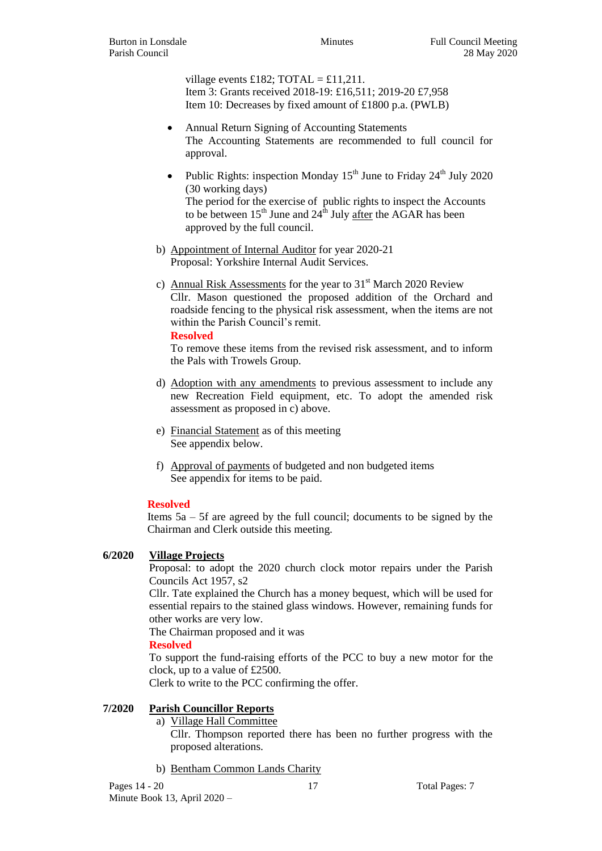village events £182;  $\text{TOTAL} = \pounds11,211$ . Item 3: Grants received 2018-19: £16,511; 2019-20 £7,958 Item 10: Decreases by fixed amount of £1800 p.a. (PWLB)

- Annual Return Signing of Accounting Statements The Accounting Statements are recommended to full council for approval.
- Public Rights: inspection Monday  $15^{th}$  June to Friday  $24^{th}$  July 2020 (30 working days) The period for the exercise of public rights to inspect the Accounts to be between  $15<sup>th</sup>$  June and  $24<sup>th</sup>$  July after the AGAR has been approved by the full council.
- b) Appointment of Internal Auditor for year 2020-21 Proposal: Yorkshire Internal Audit Services.
- c) Annual Risk Assessments for the year to  $31<sup>st</sup>$  March 2020 Review Cllr. Mason questioned the proposed addition of the Orchard and roadside fencing to the physical risk assessment, when the items are not within the Parish Council's remit.

**Resolved**

To remove these items from the revised risk assessment, and to inform the Pals with Trowels Group.

- d) Adoption with any amendments to previous assessment to include any new Recreation Field equipment, etc. To adopt the amended risk assessment as proposed in c) above.
- e) Financial Statement as of this meeting See appendix below.
- f) Approval of payments of budgeted and non budgeted items See appendix for items to be paid.

## **Resolved**

Items 5a – 5f are agreed by the full council; documents to be signed by the Chairman and Clerk outside this meeting.

## **6/2020 Village Projects**

Proposal: to adopt the 2020 church clock motor repairs under the Parish Councils Act 1957, s2

Cllr. Tate explained the Church has a money bequest, which will be used for essential repairs to the stained glass windows. However, remaining funds for other works are very low.

The Chairman proposed and it was

## **Resolved**

To support the fund-raising efforts of the PCC to buy a new motor for the clock, up to a value of £2500.

Clerk to write to the PCC confirming the offer.

## **7/2020 Parish Councillor Reports**

a) Village Hall Committee

Cllr. Thompson reported there has been no further progress with the proposed alterations.

b) Bentham Common Lands Charity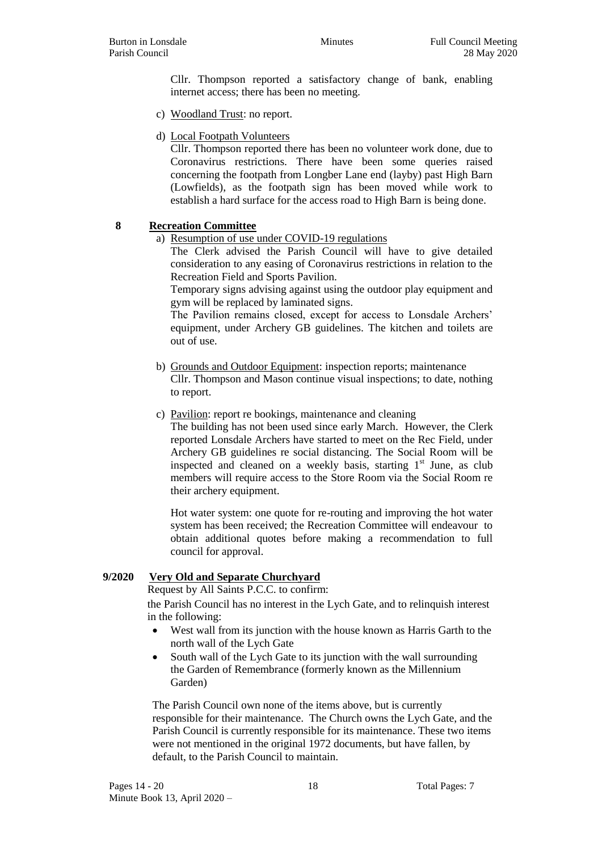Cllr. Thompson reported a satisfactory change of bank, enabling internet access; there has been no meeting.

- c) Woodland Trust: no report.
- d) Local Footpath Volunteers

Cllr. Thompson reported there has been no volunteer work done, due to Coronavirus restrictions. There have been some queries raised concerning the footpath from Longber Lane end (layby) past High Barn (Lowfields), as the footpath sign has been moved while work to establish a hard surface for the access road to High Barn is being done.

## **8 Recreation Committee**

a) Resumption of use under COVID-19 regulations

The Clerk advised the Parish Council will have to give detailed consideration to any easing of Coronavirus restrictions in relation to the Recreation Field and Sports Pavilion.

Temporary signs advising against using the outdoor play equipment and gym will be replaced by laminated signs.

The Pavilion remains closed, except for access to Lonsdale Archers' equipment, under Archery GB guidelines. The kitchen and toilets are out of use.

- b) Grounds and Outdoor Equipment: inspection reports; maintenance Cllr. Thompson and Mason continue visual inspections; to date, nothing to report.
- c) Pavilion: report re bookings, maintenance and cleaning

The building has not been used since early March. However, the Clerk reported Lonsdale Archers have started to meet on the Rec Field, under Archery GB guidelines re social distancing. The Social Room will be inspected and cleaned on a weekly basis, starting  $1<sup>st</sup>$  June, as club members will require access to the Store Room via the Social Room re their archery equipment.

Hot water system: one quote for re-routing and improving the hot water system has been received; the Recreation Committee will endeavour to obtain additional quotes before making a recommendation to full council for approval.

### **9/2020 Very Old and Separate Churchyard**

Request by All Saints P.C.C. to confirm:

the Parish Council has no interest in the Lych Gate, and to relinquish interest in the following:

- West wall from its junction with the house known as Harris Garth to the north wall of the Lych Gate
- South wall of the Lych Gate to its junction with the wall surrounding the Garden of Remembrance (formerly known as the Millennium Garden)

The Parish Council own none of the items above, but is currently responsible for their maintenance. The Church owns the Lych Gate, and the Parish Council is currently responsible for its maintenance. These two items were not mentioned in the original 1972 documents, but have fallen, by default, to the Parish Council to maintain.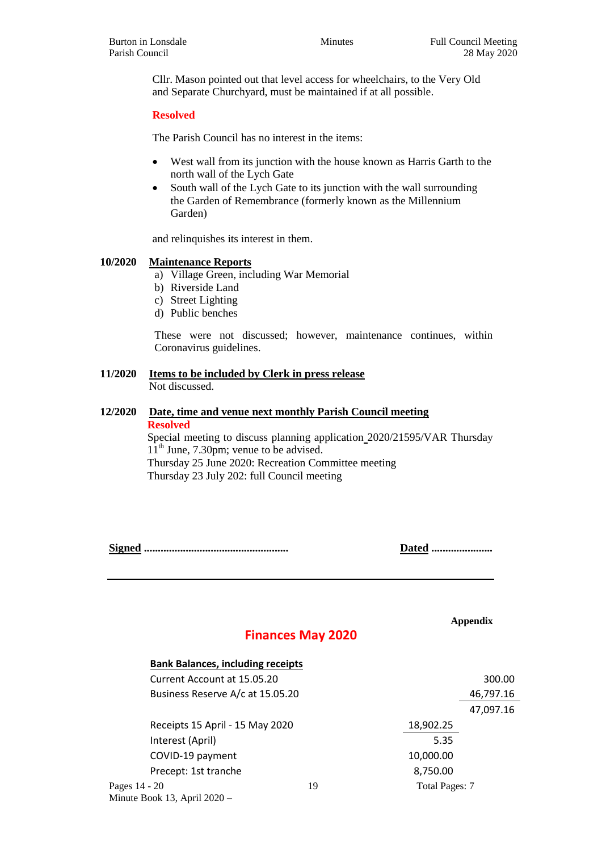Cllr. Mason pointed out that level access for wheelchairs, to the Very Old and Separate Churchyard, must be maintained if at all possible.

## **Resolved**

The Parish Council has no interest in the items:

- West wall from its junction with the house known as Harris Garth to the north wall of the Lych Gate
- South wall of the Lych Gate to its junction with the wall surrounding the Garden of Remembrance (formerly known as the Millennium Garden)

and relinquishes its interest in them.

### **10/2020 Maintenance Reports**

- a) Village Green, including War Memorial
- b) Riverside Land
- c) Street Lighting
- d) Public benches

These were not discussed; however, maintenance continues, within Coronavirus guidelines.

#### **11/2020 Items to be included by Clerk in press release** Not discussed.

## **12/2020 Date, time and venue next monthly Parish Council meeting Resolved**

Special meeting to discuss planning application 2020/21595/VAR Thursday  $11<sup>th</sup>$  June, 7.30pm; venue to be advised. Thursday 25 June 2020: Recreation Committee meeting Thursday 23 July 202: full Council meeting

**Signed .................................................... Dated ......................**

Minute Book 13, April 2020 –

**Appendix**

# **Finances May 2020**

| <b>Bank Balances, including receipts</b> |    |                       |           |
|------------------------------------------|----|-----------------------|-----------|
| Current Account at 15.05.20              |    |                       | 300.00    |
| Business Reserve A/c at 15.05.20         |    |                       | 46,797.16 |
|                                          |    |                       | 47,097.16 |
| Receipts 15 April - 15 May 2020          |    | 18,902.25             |           |
| Interest (April)                         |    | 5.35                  |           |
| COVID-19 payment                         |    | 10,000.00             |           |
| Precept: 1st tranche                     |    | 8,750.00              |           |
| Pages 14 - 20                            | 19 | <b>Total Pages: 7</b> |           |